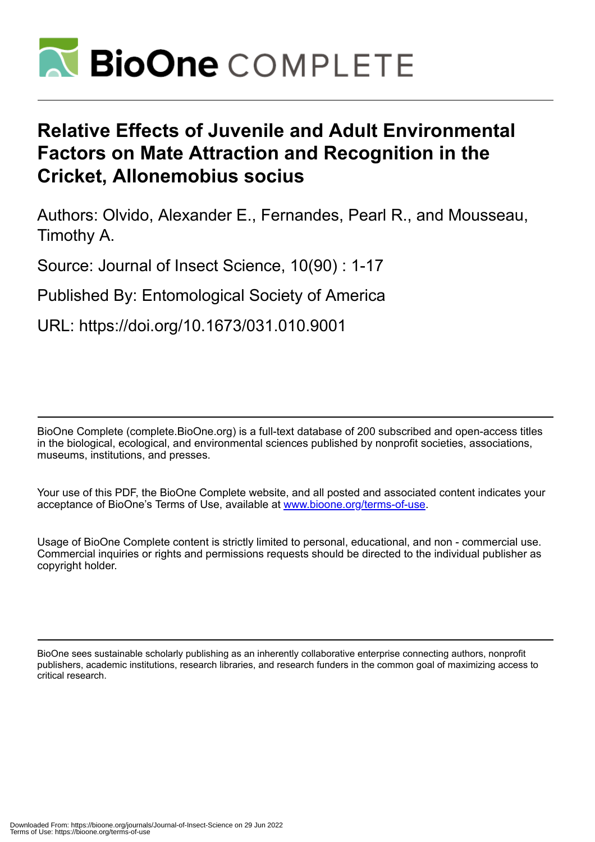

# **Relative Effects of Juvenile and Adult Environmental Factors on Mate Attraction and Recognition in the Cricket, Allonemobius socius**

Authors: Olvido, Alexander E., Fernandes, Pearl R., and Mousseau, Timothy A.

Source: Journal of Insect Science, 10(90) : 1-17

Published By: Entomological Society of America

URL: https://doi.org/10.1673/031.010.9001

BioOne Complete (complete.BioOne.org) is a full-text database of 200 subscribed and open-access titles in the biological, ecological, and environmental sciences published by nonprofit societies, associations, museums, institutions, and presses.

Your use of this PDF, the BioOne Complete website, and all posted and associated content indicates your acceptance of BioOne's Terms of Use, available at www.bioone.org/terms-of-use.

Usage of BioOne Complete content is strictly limited to personal, educational, and non - commercial use. Commercial inquiries or rights and permissions requests should be directed to the individual publisher as copyright holder.

BioOne sees sustainable scholarly publishing as an inherently collaborative enterprise connecting authors, nonprofit publishers, academic institutions, research libraries, and research funders in the common goal of maximizing access to critical research.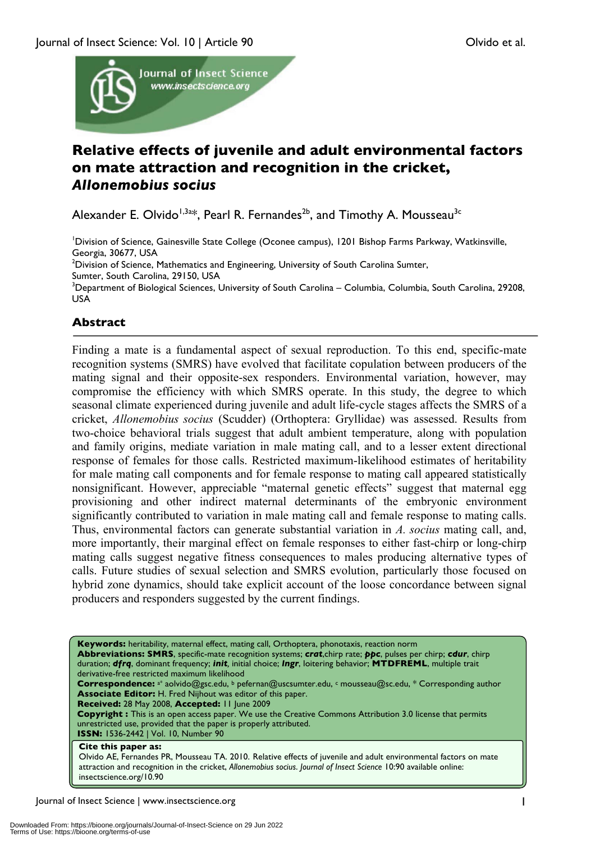

# **Relative effects of juvenile and adult environmental factors on mate attraction and recognition in the cricket,**  *Allonemobius socius*

Alexander E. Olvido<sup>1,3a\*</sup>, Pearl R. Fernandes<sup>2b</sup>, and Timothy A. Mousseau<sup>3c</sup>

1 Division of Science, Gainesville State College (Oconee campus), 1201 Bishop Farms Parkway, Watkinsville, Georgia, 30677, USA

 $^2$ Division of Science, Mathematics and Engineering, University of South Carolina Sumter,

Sumter, South Carolina, 29150, USA

<sup>3</sup>Department of Biological Sciences, University of South Carolina – Columbia, Columbia, South Carolina, 29208, USA

# **Abstract**

Finding a mate is a fundamental aspect of sexual reproduction. To this end, specific-mate recognition systems (SMRS) have evolved that facilitate copulation between producers of the mating signal and their opposite-sex responders. Environmental variation, however, may compromise the efficiency with which SMRS operate. In this study, the degree to which seasonal climate experienced during juvenile and adult life-cycle stages affects the SMRS of a cricket, *Allonemobius socius* (Scudder) (Orthoptera: Gryllidae) was assessed. Results from two-choice behavioral trials suggest that adult ambient temperature, along with population and family origins, mediate variation in male mating call, and to a lesser extent directional response of females for those calls. Restricted maximum-likelihood estimates of heritability for male mating call components and for female response to mating call appeared statistically nonsignificant. However, appreciable "maternal genetic effects" suggest that maternal egg provisioning and other indirect maternal determinants of the embryonic environment significantly contributed to variation in male mating call and female response to mating calls. Thus, environmental factors can generate substantial variation in *A. socius* mating call, and, more importantly, their marginal effect on female responses to either fast-chirp or long-chirp mating calls suggest negative fitness consequences to males producing alternative types of calls. Future studies of sexual selection and SMRS evolution, particularly those focused on hybrid zone dynamics, should take explicit account of the loose concordance between signal producers and responders suggested by the current findings.

**Keywords:** heritability, maternal effect, mating call, Orthoptera, phonotaxis, reaction norm **Abbreviations: SMRS**, specific-mate recognition systems; *crat*,chirp rate; *ppc*, pulses per chirp; *cdur*, chirp duration; *dfrq*, dominant frequency; *init,* initial choice; *lngr*, loitering behavior; **MTDFREML**, multiple trait derivative-free restricted maximum likelihood Correspondence: a<sup>\*</sup> aolvido@gsc.edu, <sup>b</sup> pefernan@uscsumter.edu, c mousseau@sc.edu, \* Corresponding author **Associate Editor:** H. Fred Nijhout was editor of this paper. **Received:** 28 May 2008, **Accepted:** 11 June 2009 **Copyright :** This is an open access paper. We use the Creative Commons Attribution 3.0 license that permits unrestricted use, provided that the paper is properly attributed. **ISSN:** 1536-2442 | Vol. 10, Number 90 **Cite this paper as:** Olvido AE, Fernandes PR, Mousseau TA. 2010. Relative effects of juvenile and adult environmental factors on mate attraction and recognition in the cricket, *Allonemobius socius*. *Journal of Insect Science* 10:90 available online: insectscience.org/10.90

Journal of Insect Science | www.insectscience.org 1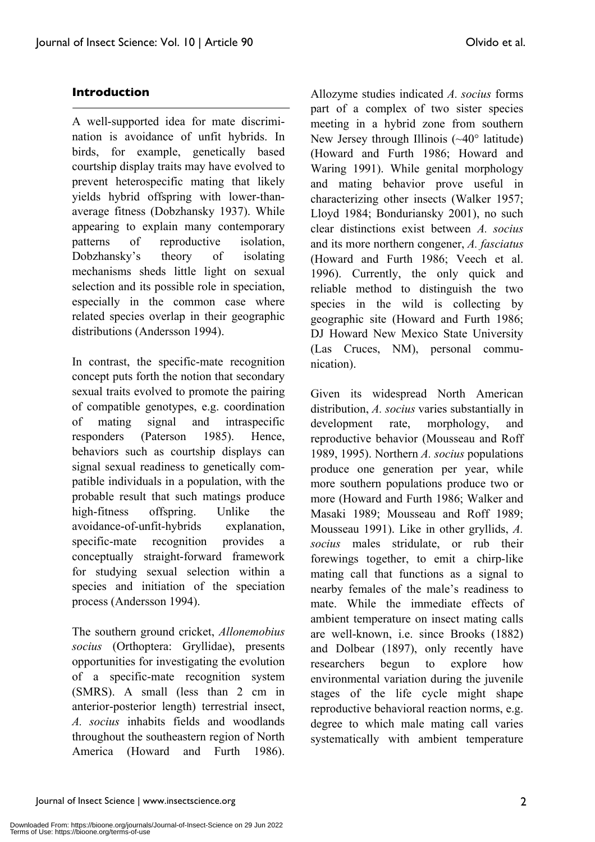# **Introduction**

A well-supported idea for mate discrimination is avoidance of unfit hybrids. In birds, for example, genetically based courtship display traits may have evolved to prevent heterospecific mating that likely yields hybrid offspring with lower-thanaverage fitness (Dobzhansky 1937). While appearing to explain many contemporary patterns of reproductive isolation, Dobzhansky's theory of isolating mechanisms sheds little light on sexual selection and its possible role in speciation, especially in the common case where related species overlap in their geographic distributions (Andersson 1994).

In contrast, the specific-mate recognition concept puts forth the notion that secondary sexual traits evolved to promote the pairing of compatible genotypes, e.g. coordination of mating signal and intraspecific responders (Paterson 1985). Hence, behaviors such as courtship displays can signal sexual readiness to genetically compatible individuals in a population, with the probable result that such matings produce high-fitness offspring. Unlike the avoidance-of-unfit-hybrids explanation, specific-mate recognition provides a conceptually straight-forward framework for studying sexual selection within a species and initiation of the speciation process (Andersson 1994).

The southern ground cricket, *Allonemobius socius* (Orthoptera: Gryllidae), presents opportunities for investigating the evolution of a specific-mate recognition system (SMRS). A small (less than 2 cm in anterior-posterior length) terrestrial insect, *A. socius* inhabits fields and woodlands throughout the southeastern region of North America (Howard and Furth 1986).

Allozyme studies indicated *A. socius* forms part of a complex of two sister species meeting in a hybrid zone from southern New Jersey through Illinois (~40° latitude) (Howard and Furth 1986; Howard and Waring 1991). While genital morphology and mating behavior prove useful in characterizing other insects (Walker 1957; Lloyd 1984; Bonduriansky 2001), no such clear distinctions exist between *A. socius* and its more northern congener, *A. fasciatus* (Howard and Furth 1986; Veech et al. 1996). Currently, the only quick and reliable method to distinguish the two species in the wild is collecting by geographic site (Howard and Furth 1986; DJ Howard New Mexico State University (Las Cruces, NM), personal communication).

Given its widespread North American distribution, *A. socius* varies substantially in development rate, morphology, and reproductive behavior (Mousseau and Roff 1989, 1995). Northern *A. socius* populations produce one generation per year, while more southern populations produce two or more (Howard and Furth 1986; Walker and Masaki 1989; Mousseau and Roff 1989; Mousseau 1991). Like in other gryllids, *A. socius* males stridulate, or rub their forewings together, to emit a chirp-like mating call that functions as a signal to nearby females of the male's readiness to mate. While the immediate effects of ambient temperature on insect mating calls are well-known, i.e. since Brooks (1882) and Dolbear (1897), only recently have researchers begun to explore how environmental variation during the juvenile stages of the life cycle might shape reproductive behavioral reaction norms, e.g. degree to which male mating call varies systematically with ambient temperature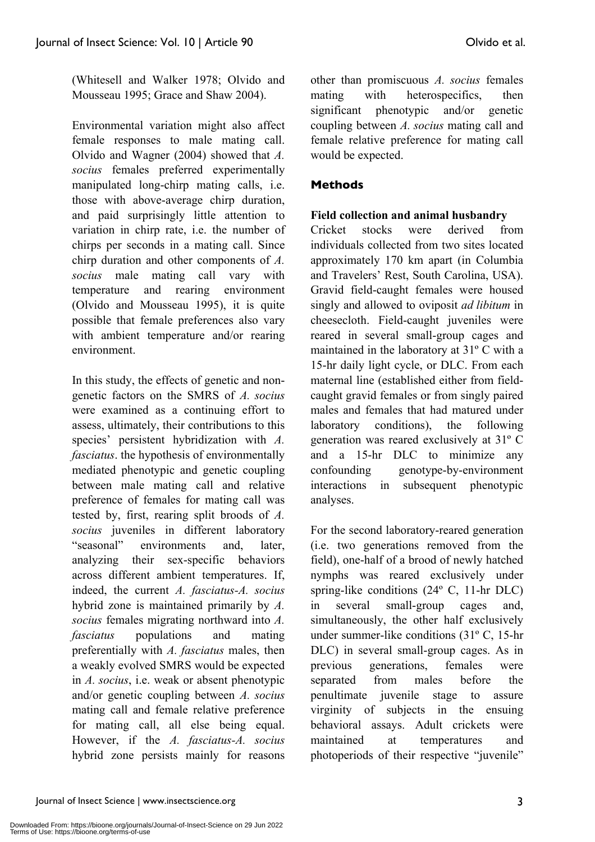(Whitesell and Walker 1978; Olvido and Mousseau 1995; Grace and Shaw 2004).

Environmental variation might also affect female responses to male mating call. Olvido and Wagner (2004) showed that *A. socius* females preferred experimentally manipulated long-chirp mating calls, i.e. those with above-average chirp duration, and paid surprisingly little attention to variation in chirp rate, i.e. the number of chirps per seconds in a mating call. Since chirp duration and other components of *A. socius* male mating call vary with temperature and rearing environment (Olvido and Mousseau 1995), it is quite possible that female preferences also vary with ambient temperature and/or rearing environment.

In this study, the effects of genetic and nongenetic factors on the SMRS of *A. socius* were examined as a continuing effort to assess, ultimately, their contributions to this species' persistent hybridization with *A. fasciatus*. the hypothesis of environmentally mediated phenotypic and genetic coupling between male mating call and relative preference of females for mating call was tested by, first, rearing split broods of *A. socius* juveniles in different laboratory "seasonal" environments and, later, analyzing their sex-specific behaviors across different ambient temperatures. If, indeed, the current *A. fasciatus-A. socius* hybrid zone is maintained primarily by *A. socius* females migrating northward into *A. fasciatus* populations and mating preferentially with *A. fasciatus* males, then a weakly evolved SMRS would be expected in *A. socius*, i.e. weak or absent phenotypic and/or genetic coupling between *A. socius* mating call and female relative preference for mating call, all else being equal. However, if the *A. fasciatus-A. socius* hybrid zone persists mainly for reasons

other than promiscuous *A. socius* females mating with heterospecifics, then significant phenotypic and/or genetic coupling between *A. socius* mating call and female relative preference for mating call would be expected.

# **Methods**

# **Field collection and animal husbandry**

Cricket stocks were derived from individuals collected from two sites located approximately 170 km apart (in Columbia and Travelers' Rest, South Carolina, USA). Gravid field-caught females were housed singly and allowed to oviposit *ad libitum* in cheesecloth. Field-caught juveniles were reared in several small-group cages and maintained in the laboratory at 31º C with a 15-hr daily light cycle, or DLC. From each maternal line (established either from fieldcaught gravid females or from singly paired males and females that had matured under laboratory conditions), the following generation was reared exclusively at 31º C and a 15-hr DLC to minimize any confounding genotype-by-environment interactions in subsequent phenotypic analyses.

For the second laboratory-reared generation (i.e. two generations removed from the field), one-half of a brood of newly hatched nymphs was reared exclusively under spring-like conditions (24º C, 11-hr DLC) in several small-group cages and, simultaneously, the other half exclusively under summer-like conditions (31º C, 15-hr DLC) in several small-group cages. As in previous generations, females were separated from males before the penultimate juvenile stage to assure virginity of subjects in the ensuing behavioral assays. Adult crickets were maintained at temperatures and photoperiods of their respective "juvenile"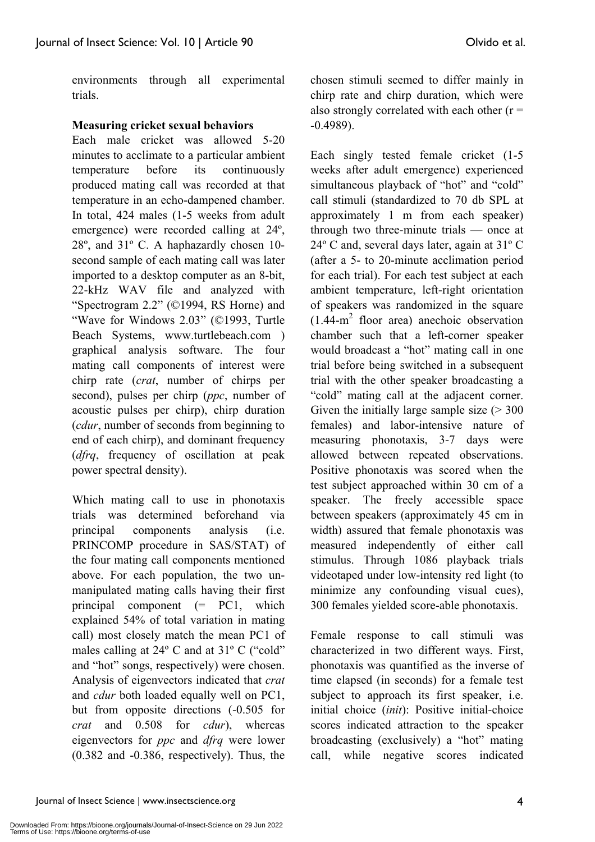environments through all experimental trials.

# **Measuring cricket sexual behaviors**

Each male cricket was allowed 5-20 minutes to acclimate to a particular ambient temperature before its continuously produced mating call was recorded at that temperature in an echo-dampened chamber. In total, 424 males (1-5 weeks from adult emergence) were recorded calling at 24º, 28º, and 31º C. A haphazardly chosen 10 second sample of each mating call was later imported to a desktop computer as an 8-bit, 22-kHz WAV file and analyzed with "Spectrogram 2.2" (©1994, RS Horne) and "Wave for Windows 2.03" (©1993, Turtle Beach Systems, www.turtlebeach.com ) graphical analysis software. The four mating call components of interest were chirp rate (*crat*, number of chirps per second), pulses per chirp (*ppc*, number of acoustic pulses per chirp), chirp duration (*cdur*, number of seconds from beginning to end of each chirp), and dominant frequency (*dfrq*, frequency of oscillation at peak power spectral density).

Which mating call to use in phonotaxis trials was determined beforehand via principal components analysis (i.e. PRINCOMP procedure in SAS/STAT) of the four mating call components mentioned above. For each population, the two unmanipulated mating calls having their first principal component (= PC1, which explained 54% of total variation in mating call) most closely match the mean PC1 of males calling at 24° C and at 31° C ("cold" and "hot" songs, respectively) were chosen. Analysis of eigenvectors indicated that *crat* and *cdur* both loaded equally well on PC1, but from opposite directions (-0.505 for *crat* and 0.508 for *cdur*), whereas eigenvectors for *ppc* and *dfrq* were lower (0.382 and -0.386, respectively). Thus, the

chosen stimuli seemed to differ mainly in chirp rate and chirp duration, which were also strongly correlated with each other  $(r =$ -0.4989).

Each singly tested female cricket (1-5 weeks after adult emergence) experienced simultaneous playback of "hot" and "cold" call stimuli (standardized to 70 db SPL at approximately 1 m from each speaker) through two three-minute trials — once at 24º C and, several days later, again at 31º C (after a 5- to 20-minute acclimation period for each trial). For each test subject at each ambient temperature, left-right orientation of speakers was randomized in the square  $(1.44-m^2)$  floor area) anechoic observation chamber such that a left-corner speaker would broadcast a "hot" mating call in one trial before being switched in a subsequent trial with the other speaker broadcasting a "cold" mating call at the adjacent corner. Given the initially large sample size  $($  > 300 females) and labor-intensive nature of measuring phonotaxis, 3-7 days were allowed between repeated observations. Positive phonotaxis was scored when the test subject approached within 30 cm of a speaker. The freely accessible space between speakers (approximately 45 cm in width) assured that female phonotaxis was measured independently of either call stimulus. Through 1086 playback trials videotaped under low-intensity red light (to minimize any confounding visual cues), 300 females yielded score-able phonotaxis.

Female response to call stimuli was characterized in two different ways. First, phonotaxis was quantified as the inverse of time elapsed (in seconds) for a female test subject to approach its first speaker, i.e. initial choice (*init*): Positive initial-choice scores indicated attraction to the speaker broadcasting (exclusively) a "hot" mating call, while negative scores indicated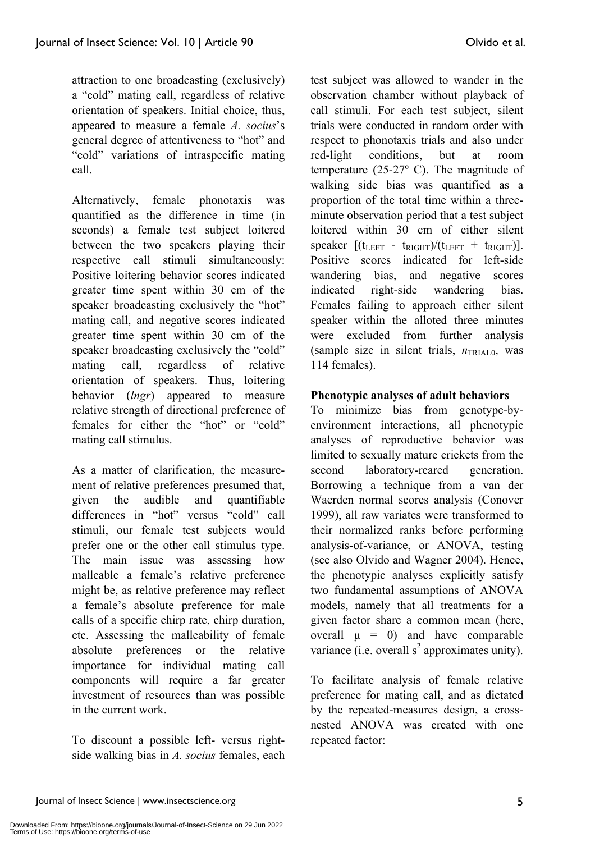attraction to one broadcasting (exclusively) a "cold" mating call, regardless of relative orientation of speakers. Initial choice, thus, appeared to measure a female *A. socius*'s general degree of attentiveness to "hot" and "cold" variations of intraspecific mating call.

Alternatively, female phonotaxis was quantified as the difference in time (in seconds) a female test subject loitered between the two speakers playing their respective call stimuli simultaneously: Positive loitering behavior scores indicated greater time spent within 30 cm of the speaker broadcasting exclusively the "hot" mating call, and negative scores indicated greater time spent within 30 cm of the speaker broadcasting exclusively the "cold" mating call, regardless of relative orientation of speakers. Thus, loitering behavior (*lngr*) appeared to measure relative strength of directional preference of females for either the "hot" or "cold" mating call stimulus.

As a matter of clarification, the measurement of relative preferences presumed that, given the audible and quantifiable differences in "hot" versus "cold" call stimuli, our female test subjects would prefer one or the other call stimulus type. The main issue was assessing how malleable a female's relative preference might be, as relative preference may reflect a female's absolute preference for male calls of a specific chirp rate, chirp duration, etc. Assessing the malleability of female absolute preferences or the relative importance for individual mating call components will require a far greater investment of resources than was possible in the current work.

To discount a possible left- versus rightside walking bias in *A. socius* females, each test subject was allowed to wander in the observation chamber without playback of call stimuli. For each test subject, silent trials were conducted in random order with respect to phonotaxis trials and also under red-light conditions, but at room temperature (25-27º C). The magnitude of walking side bias was quantified as a proportion of the total time within a threeminute observation period that a test subject loitered within 30 cm of either silent speaker  $[(t_{\text{LEFT}} - t_{\text{RIGHT}})/(t_{\text{LEFT}} + t_{\text{RIGHT}})].$ Positive scores indicated for left-side wandering bias, and negative scores indicated right-side wandering bias. Females failing to approach either silent speaker within the alloted three minutes were excluded from further analysis (sample size in silent trials,  $n_{TRIAL0}$ , was 114 females).

# **Phenotypic analyses of adult behaviors**

To minimize bias from genotype-byenvironment interactions, all phenotypic analyses of reproductive behavior was limited to sexually mature crickets from the second laboratory-reared generation. Borrowing a technique from a van der Waerden normal scores analysis (Conover 1999), all raw variates were transformed to their normalized ranks before performing analysis-of-variance, or ANOVA, testing (see also Olvido and Wagner 2004). Hence, the phenotypic analyses explicitly satisfy two fundamental assumptions of ANOVA models, namely that all treatments for a given factor share a common mean (here, overall  $\mu = 0$ ) and have comparable variance (i.e. overall  $s^2$  approximates unity).

To facilitate analysis of female relative preference for mating call, and as dictated by the repeated-measures design, a crossnested ANOVA was created with one repeated factor: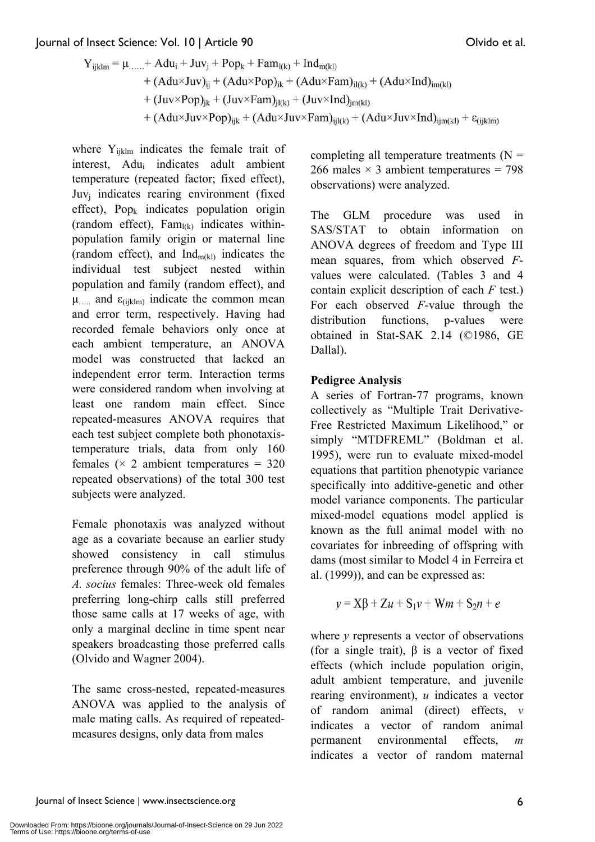#### Journal of Insect Science: Vol. 10 | Article 90 Olvido et al.

$$
\begin{aligned} Y_{ijklm} = \mu_{\ldots\ldots} + A du_i + J u v_j + Pop_k + F a m_{l(k)} + Ind_{m(kl)} \\ &\quad + (A du \times J u v)_{ij} + (A du \times Pop)_{ik} + (A du \times F a m)_{i l(k)} + (A du \times Ind)_{im(kl)} \\ &\quad + (J u v \times Pop)_{jk} + (J u v \times F a m)_{j l(k)} + (J u v \times Ind)_{jm(kl)} \\ &\quad + (A du \times J u v \times Pop)_{ijk} + (A du \times J u v \times F a m)_{ijl(k)} + (A du \times J u v \times Ind)_{ijm(kl)} + \epsilon_{(ijklm)} \end{aligned}
$$

where  $Y_{iiklm}$  indicates the female trait of interest, Adui indicates adult ambient temperature (repeated factor; fixed effect), Juv<sub>i</sub> indicates rearing environment (fixed effect),  $Pop_k$  indicates population origin (random effect),  $Fam_{l(k)}$  indicates withinpopulation family origin or maternal line (random effect), and  $Ind_{m(kl)}$  indicates the individual test subject nested within population and family (random effect), and  $\mu_{\dots}$  and  $\varepsilon_{(ijklm)}$  indicate the common mean and error term, respectively. Having had recorded female behaviors only once at each ambient temperature, an ANOVA model was constructed that lacked an independent error term. Interaction terms were considered random when involving at least one random main effect. Since repeated-measures ANOVA requires that each test subject complete both phonotaxistemperature trials, data from only 160 females ( $\times$  2 ambient temperatures = 320 repeated observations) of the total 300 test subjects were analyzed.

Female phonotaxis was analyzed without age as a covariate because an earlier study showed consistency in call stimulus preference through 90% of the adult life of *A. socius* females: Three-week old females preferring long-chirp calls still preferred those same calls at 17 weeks of age, with only a marginal decline in time spent near speakers broadcasting those preferred calls (Olvido and Wagner 2004).

The same cross-nested, repeated-measures ANOVA was applied to the analysis of male mating calls. As required of repeatedmeasures designs, only data from males

completing all temperature treatments  $(N =$ 266 males  $\times$  3 ambient temperatures = 798 observations) were analyzed.

The GLM procedure was used in SAS/STAT to obtain information on ANOVA degrees of freedom and Type III mean squares, from which observed *F*values were calculated. (Tables 3 and 4 contain explicit description of each *F* test.) For each observed *F*-value through the distribution functions, p-values were obtained in Stat-SAK 2.14 (©1986, GE Dallal).

# **Pedigree Analysis**

A series of Fortran-77 programs, known collectively as "Multiple Trait Derivative-Free Restricted Maximum Likelihood," or simply "MTDFREML" (Boldman et al. 1995), were run to evaluate mixed-model equations that partition phenotypic variance specifically into additive-genetic and other model variance components. The particular mixed-model equations model applied is known as the full animal model with no covariates for inbreeding of offspring with dams (most similar to Model 4 in Ferreira et al. (1999)), and can be expressed as:

$$
y = \mathbf{X}\boldsymbol{\beta} + \mathbf{Z}u + \mathbf{S}_1v + \mathbf{W}m + \mathbf{S}_2n + e
$$

where *y* represents a vector of observations (for a single trait),  $\beta$  is a vector of fixed effects (which include population origin, adult ambient temperature, and juvenile rearing environment), *u* indicates a vector of random animal (direct) effects, *v* indicates a vector of random animal permanent environmental effects, *m* indicates a vector of random maternal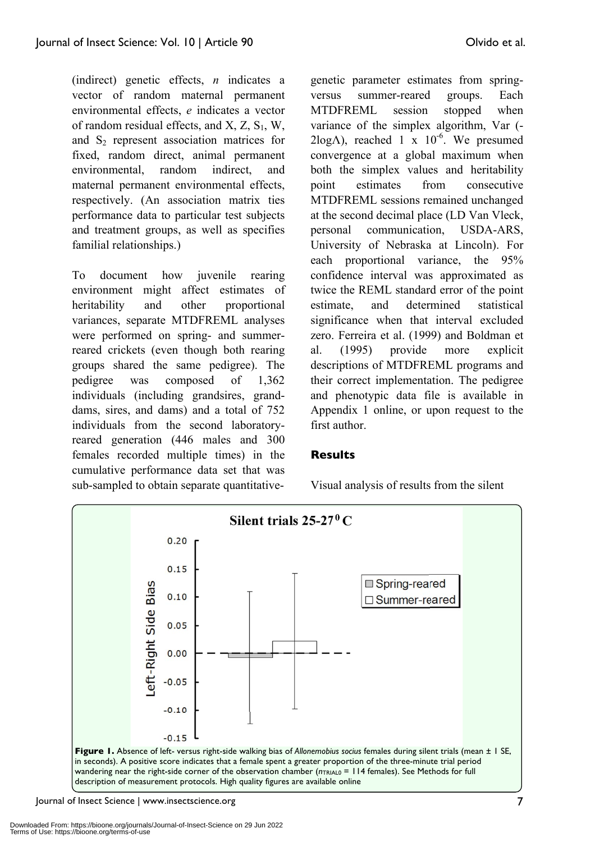(indirect) genetic effects, *n* indicates a vector of random maternal permanent environmental effects, *e* indicates a vector of random residual effects, and  $X$ ,  $Z$ ,  $S_1$ ,  $W$ , and  $S_2$  represent association matrices for fixed, random direct, animal permanent environmental, random indirect, and maternal permanent environmental effects, respectively. (An association matrix ties performance data to particular test subjects and treatment groups, as well as specifies familial relationships.)

To document how juvenile rearing environment might affect estimates of heritability and other proportional variances, separate MTDFREML analyses were performed on spring- and summerreared crickets (even though both rearing groups shared the same pedigree). The pedigree was composed of 1,362 individuals (including grandsires, granddams, sires, and dams) and a total of 752 individuals from the second laboratoryreared generation (446 males and 300 females recorded multiple times) in the cumulative performance data set that was sub-sampled to obtain separate quantitative-

genetic parameter estimates from springversus summer-reared groups. Each MTDFREML session stopped when variance of the simplex algorithm, Var (-  $2\log\Lambda$ ), reached 1 x  $10^{-6}$ . We presumed convergence at a global maximum when both the simplex values and heritability point estimates from consecutive MTDFREML sessions remained unchanged at the second decimal place (LD Van Vleck, personal communication, USDA-ARS, University of Nebraska at Lincoln). For each proportional variance, the 95% confidence interval was approximated as twice the REML standard error of the point estimate, and determined statistical significance when that interval excluded zero. Ferreira et al. (1999) and Boldman et al. (1995) provide more explicit descriptions of MTDFREML programs and their correct implementation. The pedigree and phenotypic data file is available in Appendix 1 online, or upon request to the first author.

#### **Results**

Visual analysis of results from the silent



Journal of Insect Science | www.insectscience.org 7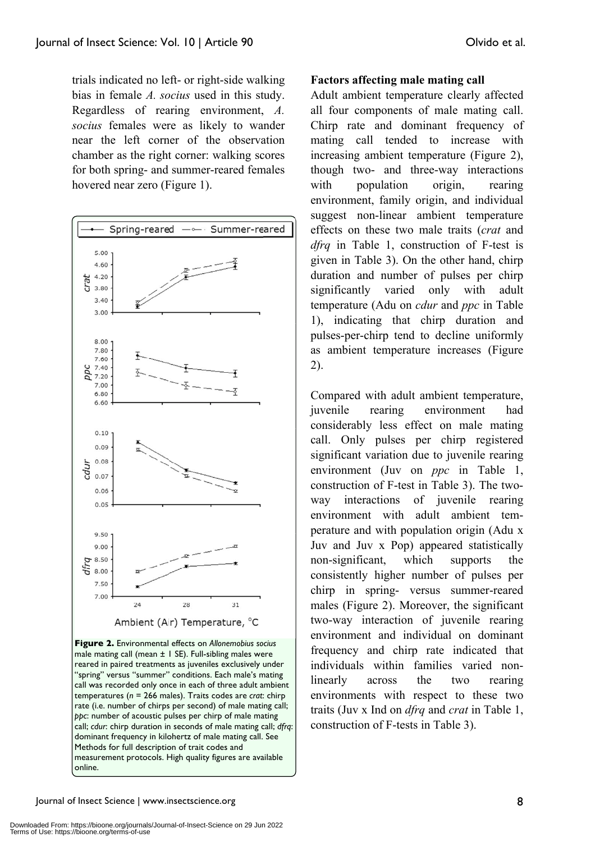trials indicated no left- or right-side walking bias in female *A. socius* used in this study. Regardless of rearing environment, *A. socius* females were as likely to wander near the left corner of the observation chamber as the right corner: walking scores for both spring- and summer-reared females hovered near zero (Figure 1).



**Figure 2.** Environmental effects on *Allonemobius socius* male mating call (mean  $\pm$  1 SE). Full-sibling males were reared in paired treatments as juveniles exclusively under "spring" versus "summer" conditions. Each male's mating call was recorded only once in each of three adult ambient temperatures (*n* = 266 males). Traits codes are *crat*: chirp rate (i.e. number of chirps per second) of male mating call; *ppc*: number of acoustic pulses per chirp of male mating call; *cdur*: chirp duration in seconds of male mating call; *dfrq*: dominant frequency in kilohertz of male mating call. See Methods for full description of trait codes and measurement protocols. High quality figures are available online.

#### **Factors affecting male mating call**

Adult ambient temperature clearly affected all four components of male mating call. Chirp rate and dominant frequency of mating call tended to increase with increasing ambient temperature (Figure 2), though two- and three-way interactions with population origin, rearing environment, family origin, and individual suggest non-linear ambient temperature effects on these two male traits (*crat* and *dfrq* in Table 1, construction of F-test is given in Table 3). On the other hand, chirp duration and number of pulses per chirp significantly varied only with adult temperature (Adu on *cdur* and *ppc* in Table 1), indicating that chirp duration and pulses-per-chirp tend to decline uniformly as ambient temperature increases (Figure 2).

Compared with adult ambient temperature, juvenile rearing environment had considerably less effect on male mating call. Only pulses per chirp registered significant variation due to juvenile rearing environment (Juv on *ppc* in Table 1, construction of F-test in Table 3). The twoway interactions of juvenile rearing environment with adult ambient temperature and with population origin (Adu x Juv and Juv x Pop) appeared statistically non-significant, which supports the consistently higher number of pulses per chirp in spring- versus summer-reared males (Figure 2). Moreover, the significant two-way interaction of juvenile rearing environment and individual on dominant frequency and chirp rate indicated that individuals within families varied nonlinearly across the two rearing environments with respect to these two traits (Juv x Ind on *dfrq* and *crat* in Table 1, construction of F-tests in Table 3).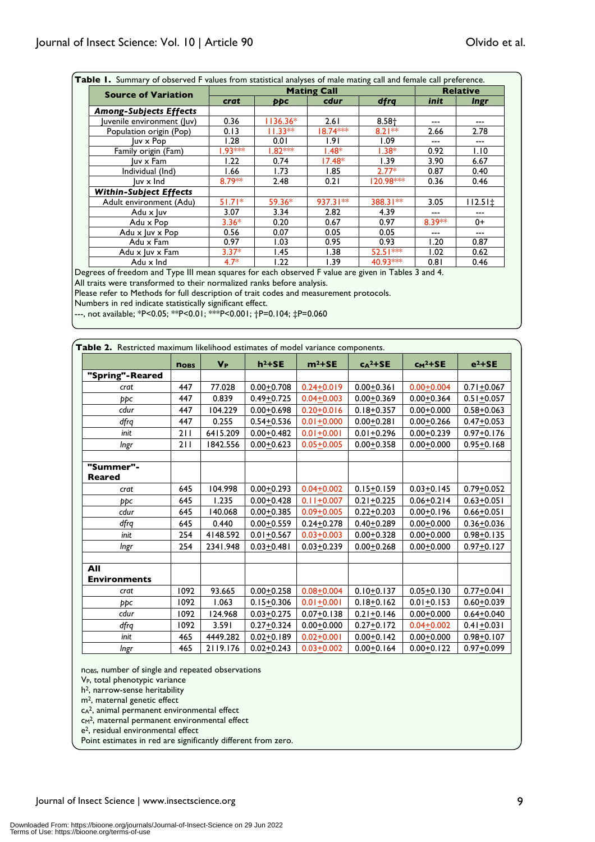| <b>Source of Variation</b>    |           | <b>Relative</b> |            |           |        |              |
|-------------------------------|-----------|-----------------|------------|-----------|--------|--------------|
|                               | crat      | ppc             | cdur       | dfrq      | init   | <i>lngr</i>  |
| <b>Among-Subjects Effects</b> |           |                 |            |           |        |              |
| luvenile environment (luv)    | 0.36      | $1136.36*$      | 2.61       | $8.58 +$  |        | ---          |
| Population origin (Pop)       | 0.13      | $11.33**$       | 18.74 ***  | $8.21***$ | 2.66   | 2.78         |
| luv x Pop                     | 1.28      | 0.01            | 1.91       | 1.09      | ---    | ---          |
| Family origin (Fam)           | $1.93***$ | $1.82***$       | $1.48*$    | $1.38*$   | 0.92   | 1.10         |
| luv x Fam                     | 1.22      | 0.74            | $17.48*$   | 1.39      | 3.90   | 6.67         |
| Individual (Ind)              | 1.66      | 1.73            | 1.85       | $2.77*$   | 0.87   | 0.40         |
| luv x Ind                     | 8.79**    | 2.48            | 0.21       | 120.98*** | 0.36   | 0.46         |
| <b>Within-Subject Effects</b> |           |                 |            |           |        |              |
| Adult environment (Adu)       | $51.71*$  | 59.36*          | $937.31**$ | 388.31**  | 3.05   | $112.51 \pm$ |
| Adu x luv                     | 3.07      | 3.34            | 2.82       | 4.39      |        |              |
| Adu x Pop                     | $3.36*$   | 0.20            | 0.67       | 0.97      | 8.39** | 0+           |
| Adu x luv x Pop               | 0.56      | 0.07            | 0.05       | 0.05      |        |              |
| Adu x Fam                     | 0.97      | 1.03            | 0.95       | 0.93      | 1.20   | 0.87         |
| Adu x luv x Fam               | $3.37*$   | 1.45            | 1.38       | 52.51 *** | 1.02   | 0.62         |
| Adu x Ind                     | $4.7*$    | 1.22            | 1.39       | 40.93***  | 0.81   | 0.46         |

Degrees of freedom and Type III mean squares for each observed F value are given in Tables 3 and 4.

All traits were transformed to their normalized ranks before analysis.

Please refer to Methods for full description of trait codes and measurement protocols.

Numbers in red indicate statistically significant effect.

---, not available; \*P<0.05; \*\*P<0.01; \*\*\*P<0.001; †P=0.104; ‡P=0.060

|                     | <b>NOBS</b> | $V_{P}$  | $h^2 + SE$     | $m^2+SE$       | $c_A^2 + S E$  | $cm2+SE$       | $e^2 + SE$     |
|---------------------|-------------|----------|----------------|----------------|----------------|----------------|----------------|
| "Spring"-Reared     |             |          |                |                |                |                |                |
| crat                | 447         | 77.028   | $0.00 + 0.708$ | $0.24 + 0.019$ | $0.00 + 0.361$ | $0.00 + 0.004$ | $0.71 + 0.067$ |
| ppc                 | 447         | 0.839    | $0.49 + 0.725$ | $0.04 + 0.003$ | $0.00 + 0.369$ | $0.00 + 0.364$ | $0.51 + 0.057$ |
| cdur                | 447         | 104.229  | $0.00 + 0.698$ | $0.20 + 0.016$ | $0.18 + 0.357$ | $0.00 + 0.000$ | $0.58 + 0.063$ |
| dfrq                | 447         | 0.255    | $0.54 + 0.536$ | $0.01 + 0.000$ | $0.00 + 0.281$ | $0.00 + 0.266$ | $0.47 + 0.053$ |
| init                | 211         | 6415.209 | $0.00 + 0.482$ | $0.01 + 0.001$ | $0.01 + 0.296$ | $0.00 + 0.239$ | $0.97 + 0.176$ |
| <b>Ingr</b>         | 211         | 1842.556 | $0.00 + 0.623$ | $0.05 + 0.005$ | $0.00 + 0.358$ | $0.00 + 0.000$ | $0.95 + 0.168$ |
| "Summer"-           |             |          |                |                |                |                |                |
| <b>Reared</b>       |             |          |                |                |                |                |                |
| crat                | 645         | 104.998  | $0.00 + 0.293$ | $0.04 + 0.002$ | $0.15 + 0.159$ | $0.03 + 0.145$ | $0.79 + 0.052$ |
| ppc                 | 645         | 1.235    | $0.00 + 0.428$ | $0.11 + 0.007$ | $0.21 + 0.225$ | $0.06 + 0.214$ | $0.63 + 0.051$ |
| cdur                | 645         | 140.068  | $0.00 + 0.385$ | $0.09 + 0.005$ | $0.22 + 0.203$ | $0.00 + 0.196$ | $0.66 + 0.051$ |
| dfrq                | 645         | 0.440    | $0.00 + 0.559$ | $0.24 + 0.278$ | $0.40 + 0.289$ | $0.00 + 0.000$ | $0.36 + 0.036$ |
| init                | 254         | 4148.592 | $0.01 + 0.567$ | $0.03 + 0.003$ | $0.00 + 0.328$ | $0.00 + 0.000$ | $0.98 + 0.135$ |
| Ingr                | 254         | 2341.948 | $0.03 + 0.481$ | $0.03 + 0.239$ | $0.00 + 0.268$ | $0.00 + 0.000$ | $0.97 + 0.127$ |
| All                 |             |          |                |                |                |                |                |
| <b>Environments</b> |             |          |                |                |                |                |                |
| crat                | 1092        | 93.665   | $0.00 + 0.258$ | $0.08 + 0.004$ | $0.10 + 0.137$ | $0.05 + 0.130$ | $0.77 + 0.041$ |
| ppc                 | 1092        | 1.063    | $0.15 + 0.306$ | $0.01 + 0.001$ | $0.18 + 0.162$ | $0.01 + 0.153$ | $0.60 + 0.039$ |
| cdur                | 1092        | 124.968  | $0.03 + 0.275$ | $0.07 + 0.138$ | $0.21 + 0.146$ | $0.00 + 0.000$ | $0.64 + 0.040$ |
| dfrq                | 1092        | 3.591    | $0.27 + 0.324$ | $0.00 + 0.000$ | $0.27 + 0.172$ | $0.04 + 0.002$ | $0.41 + 0.031$ |
| init                | 465         | 4449.282 | $0.02 + 0.189$ | $0.02 + 0.001$ | $0.00 + 0.142$ | $0.00 + 0.000$ | $0.98 + 0.107$ |
| Ingr                | 465         | 2119.176 | $0.02 + 0.243$ | $0.03 + 0.002$ | $0.00 + 0.164$ | $0.00 + 0.122$ | $0.97 + 0.099$ |

n<sub>OBS</sub>, number of single and repeated observations

V<sub>P</sub>, total phenotypic variance

h2, narrow-sense heritability

m2, maternal genetic effect

cA2, animal permanent environmental effect

cm<sup>2</sup>, maternal permanent environmental effect

e2, residual environmental effect

Point estimates in red are significantly different from zero.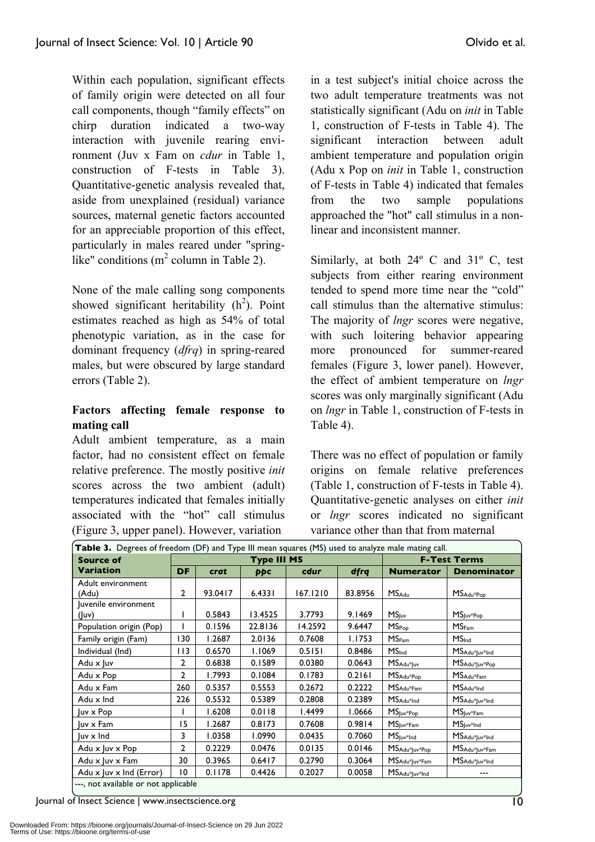Within each population, significant effects of family origin were detected on all four call components, though "family effects" on chirp duration indicated a two-way interaction with juvenile rearing environment (Juv x Fam on *cdur* in Table 1, construction of F-tests in Table 3). Quantitative-genetic analysis revealed that, aside from unexplained (residual) variance sources, maternal genetic factors accounted for an appreciable proportion of this effect, particularly in males reared under "springlike" conditions (m<sup>2</sup> column in Table 2).

None of the male calling song components showed significant heritability  $(h^2)$ . Point estimates reached as high as 54% of total phenotypic variation, as in the case for dominant frequency (*dfrq*) in spring-reared males, but were obscured by large standard errors (Table 2).

# **Factors affecting female response to mating call**

Adult ambient temperature, as a main factor, had no consistent effect on female relative preference. The mostly positive *init* scores across the two ambient (adult) temperatures indicated that females initially associated with the "hot" call stimulus (Figure 3, upper panel). However, variation

in a test subject's initial choice across the two adult temperature treatments was not statistically significant (Adu on *init* in Table 1, construction of F-tests in Table 4). The significant interaction between adult ambient temperature and population origin (Adu x Pop on *init* in Table 1, construction of F-tests in Table 4) indicated that females from the two sample populations approached the "hot" call stimulus in a nonlinear and inconsistent manner.

Similarly, at both 24º C and 31º C, test subjects from either rearing environment tended to spend more time near the "cold" call stimulus than the alternative stimulus: The majority of *lngr* scores were negative, with such loitering behavior appearing more pronounced for summer-reared females (Figure 3, lower panel). However, the effect of ambient temperature on *lngr* scores was only marginally significant (Adu on *lngr* in Table 1, construction of F-tests in Table 4).

There was no effect of population or family origins on female relative preferences (Table 1, construction of F-tests in Table 4). Quantitative-genetic analyses on either *init* or *lngr* scores indicated no significant variance other than that from maternal

| Table 3. Degrees of freedom (DF) and Type III mean squares (MS) used to analyze male mating call. |                |         |                    |          |         |                        |                                        |  |
|---------------------------------------------------------------------------------------------------|----------------|---------|--------------------|----------|---------|------------------------|----------------------------------------|--|
| <b>Source of</b>                                                                                  |                |         | <b>Type III MS</b> |          |         |                        | <b>F-Test Terms</b>                    |  |
| <b>Variation</b>                                                                                  | <b>DF</b>      | crat    | ppc                | cdur     | dfrq    | <b>Numerator</b>       | <b>Denominator</b>                     |  |
| Adult environment                                                                                 |                |         |                    |          |         |                        |                                        |  |
| (Adu)                                                                                             | 2              | 93.0417 | 6.4331             | 167.1210 | 83.8956 | <b>MS</b> Adu          | MSAdu*Pop                              |  |
| Juvenile environment                                                                              |                |         |                    |          |         |                        |                                        |  |
| (luv)                                                                                             |                | 0.5843  | 13.4525            | 3.7793   | 9.1469  | MS <sub>luv</sub>      | $MS_{\text{Juv}^* \text{Pop}}$         |  |
| Population origin (Pop)                                                                           |                | 0.1596  | 22.8136            | 14.2592  | 9.6447  | <b>MS</b> Pop          | MS <sub>Fam</sub>                      |  |
| Family origin (Fam)                                                                               | 130            | 1.2687  | 2.0136             | 0.7608   | 1.1753  | MS <sub>Fam</sub>      | MS <sub>Ind</sub>                      |  |
| Individual (Ind)                                                                                  | 113            | 0.6570  | 1.1069             | 0.5151   | 0.8486  | MS <sub>Ind</sub>      | MSAdu*Juv*Ind                          |  |
| Adu x Juv                                                                                         | 2              | 0.6838  | 0.1589             | 0.0380   | 0.0643  | MSAdu*Juv              | MSAdu*Juv*Pop                          |  |
| Adu x Pop                                                                                         | $\mathbf{2}$   | 1.7993  | 0.1084             | 0.1783   | 0.2161  | MS <sub>Adu</sub> *Pop | $MS_{Adu*Fam}$                         |  |
| Adu x Fam                                                                                         | 260            | 0.5357  | 0.5553             | 0.2672   | 0.2222  | $MS_{\text{Adu*Fam}}$  | MSAdu*Ind                              |  |
| Adu x Ind                                                                                         | 226            | 0.5532  | 0.5389             | 0.2808   | 0.2389  | MS <sub>Adu*Ind</sub>  | MSAdu*Juv*Ind                          |  |
| luv x Pop                                                                                         |                | 1.6208  | 0.0118             | 1.4499   | 1.0666  | $MSluv*Pop$            | $MS_{\text{Juv*Fam}}$                  |  |
| luv x Fam                                                                                         | 15             | 1.2687  | 0.8173             | 0.7608   | 0.9814  | $MSluv*Fam$            | $MS_{\text{Juv*Ind}}$                  |  |
| luv x Ind                                                                                         | 3              | 1.0358  | 1.0990             | 0.0435   | 0.7060  | $MSluv*Ind$            | MSAdu*Juv*Ind                          |  |
| Adu x Juv x Pop                                                                                   | $\overline{2}$ | 0.2229  | 0.0476             | 0.0135   | 0.0146  | MSAdu*Juv*Pop          | MSAdu*Juv*Fam                          |  |
| Adu x Juv x Fam                                                                                   | 30             | 0.3965  | 0.6417             | 0.2790   | 0.3064  | MSAdu*Juv*Fam          | MSAdu <sup>*</sup> Juv <sup>*Ind</sup> |  |
| Adu $x$ Juv $x$ Ind (Error)                                                                       | $\overline{0}$ | 0.1178  | 0.4426             | 0.2027   | 0.0058  | MSAdu*Juv*Ind          | ---                                    |  |
| ---, not available or not applicable                                                              |                |         |                    |          |         |                        |                                        |  |

Journal of Insect Science | www.insectscience.org 10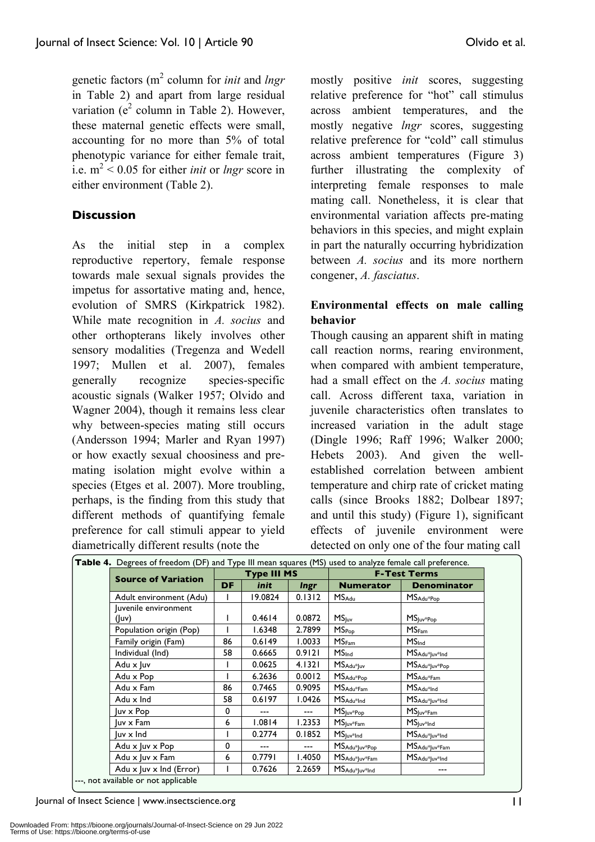genetic factors (m<sup>2</sup> column for *init* and *lngr* in Table 2) and apart from large residual variation ( $e^2$  column in Table 2). However, these maternal genetic effects were small, accounting for no more than 5% of total phenotypic variance for either female trait, i.e.  $m^2$  < 0.05 for either *init* or *lngr* score in either environment (Table 2).

# **Discussion**

As the initial step in a complex reproductive repertory, female response towards male sexual signals provides the impetus for assortative mating and, hence, evolution of SMRS (Kirkpatrick 1982). While mate recognition in *A. socius* and other orthopterans likely involves other sensory modalities (Tregenza and Wedell 1997; Mullen et al. 2007), females generally recognize species-specific acoustic signals (Walker 1957; Olvido and Wagner 2004), though it remains less clear why between-species mating still occurs (Andersson 1994; Marler and Ryan 1997) or how exactly sexual choosiness and premating isolation might evolve within a species (Etges et al. 2007). More troubling, perhaps, is the finding from this study that different methods of quantifying female preference for call stimuli appear to yield diametrically different results (note the

mostly positive *init* scores, suggesting relative preference for "hot" call stimulus across ambient temperatures, and the mostly negative *lngr* scores, suggesting relative preference for "cold" call stimulus across ambient temperatures (Figure 3) further illustrating the complexity of interpreting female responses to male mating call. Nonetheless, it is clear that environmental variation affects pre-mating behaviors in this species, and might explain in part the naturally occurring hybridization between *A. socius* and its more northern congener, *A. fasciatus*.

# **Environmental effects on male calling behavior**

Though causing an apparent shift in mating call reaction norms, rearing environment, when compared with ambient temperature, had a small effect on the *A. socius* mating call. Across different taxa, variation in juvenile characteristics often translates to increased variation in the adult stage (Dingle 1996; Raff 1996; Walker 2000; Hebets 2003). And given the wellestablished correlation between ambient temperature and chirp rate of cricket mating calls (since Brooks 1882; Dolbear 1897; and until this study) (Figure 1), significant effects of juvenile environment were detected on only one of the four mating call

| Table 4. Degrees of freedom (DF) and Type III mean squares (MS) used to analyze female call preference. |                    |             |             |                               |                                                 |  |
|---------------------------------------------------------------------------------------------------------|--------------------|-------------|-------------|-------------------------------|-------------------------------------------------|--|
| <b>Source of Variation</b>                                                                              | <b>Type III MS</b> |             |             | <b>F-Test Terms</b>           |                                                 |  |
|                                                                                                         | <b>DF</b>          | <i>init</i> | <b>Ingr</b> | <b>Numerator</b>              | <b>Denominator</b>                              |  |
| Adult environment (Adu)                                                                                 |                    | 19.0824     | 0.1312      | <b>MS</b> Adu                 | $MS_{Adu*Pop}$                                  |  |
| luvenile environment                                                                                    |                    |             |             |                               |                                                 |  |
| (luv)                                                                                                   |                    | 0.4614      | 0.0872      | MS <sub>luv</sub>             | $MSjuv*Pop$                                     |  |
| Population origin (Pop)                                                                                 |                    | 1.6348      | 2.7899      | $MS_{\text{Pop}}$             | MS <sub>Fam</sub>                               |  |
| Family origin (Fam)                                                                                     | 86                 | 0.6149      | 1.0033      | MS <sub>Fam</sub>             | <b>MS</b> Ind                                   |  |
| Individual (Ind)                                                                                        | 58                 | 0.6665      | 0.9121      | MS <sub>Ind</sub>             | MS <sub>Adu<sup>*</sup>Juv<sup>*Ind</sup></sub> |  |
| Adu x luv                                                                                               |                    | 0.0625      | 4.1321      | MSAdu*Juv                     | MSAdu*Juv*Pop                                   |  |
| Adu x Pop                                                                                               |                    | 6.2636      | 0.0012      | $MS_{\text{Adu}^*\text{Pop}}$ | $MS_{Adu*Fam}$                                  |  |
| Adu x Fam                                                                                               | 86                 | 0.7465      | 0.9095      | $MSAdu*Fam$                   | MS <sub>Adu<sup>*</sup>Ind</sub>                |  |
| Adu x Ind                                                                                               | 58                 | 0.6197      | 1.0426      | $MS_{Adu*Ind}$                | MS <sub>Adu<sup>*</sup>Juv<sup>*</sup>Ind</sub> |  |
| luv x Pop                                                                                               | $\mathbf 0$        |             | ---         | MSjuv*Pop                     | $MS_{\text{Juv*Fam}}$                           |  |
| luv x Fam                                                                                               | 6                  | 1.0814      | 1.2353      | $MS_{\text{Juv*Fam}}$         | $MS_{\text{Juv*Ind}}$                           |  |
| luv x Ind                                                                                               |                    | 0.2774      | 0.1852      | $MSluv*Ind$                   | MS <sub>Adu<sup>*</sup>Juv<sup>*Ind</sup></sub> |  |
| Adu x luv x Pop                                                                                         | 0                  | ---         | $---$       | MSAdu*Juv*Pop                 | MSAdu*Juv*Fam                                   |  |
| Adu x Juv x Fam                                                                                         | 6                  | 0.7791      | 1.4050      | MSAdu*Juv*Fam                 | MSAdu*Juv*Ind                                   |  |
| Adu $x$ Juv $x$ Ind (Error)                                                                             |                    | 0.7626      | 2.2659      | MSAdu*Juv*Ind                 | ---                                             |  |

---, not available or not applicable

Journal of Insect Science | www.insectscience.org 11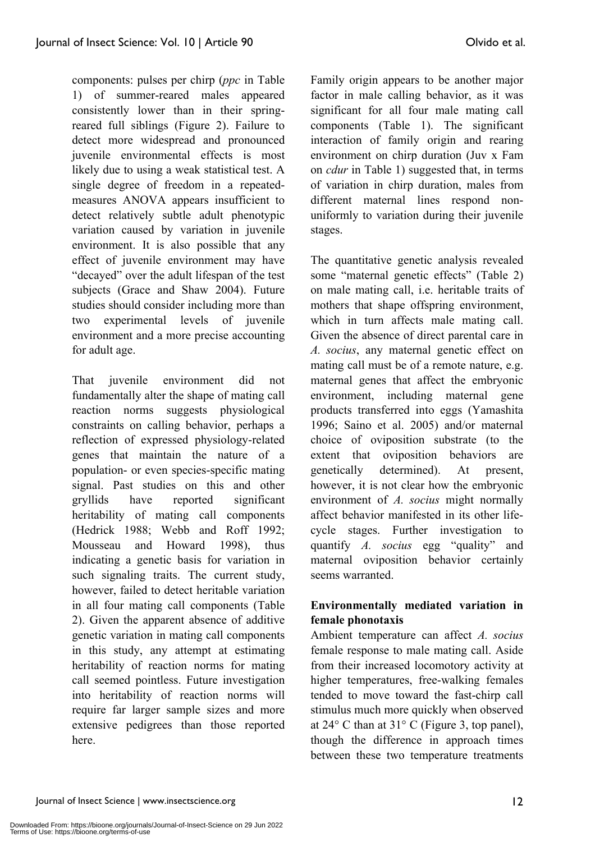components: pulses per chirp (*ppc* in Table 1) of summer-reared males appeared consistently lower than in their springreared full siblings (Figure 2). Failure to detect more widespread and pronounced juvenile environmental effects is most likely due to using a weak statistical test. A single degree of freedom in a repeatedmeasures ANOVA appears insufficient to detect relatively subtle adult phenotypic variation caused by variation in juvenile environment. It is also possible that any

effect of juvenile environment may have "decayed" over the adult lifespan of the test subjects (Grace and Shaw 2004). Future studies should consider including more than two experimental levels of juvenile environment and a more precise accounting for adult age.

That juvenile environment did not fundamentally alter the shape of mating call reaction norms suggests physiological constraints on calling behavior, perhaps a reflection of expressed physiology-related genes that maintain the nature of a population- or even species-specific mating signal. Past studies on this and other gryllids have reported significant heritability of mating call components (Hedrick 1988; Webb and Roff 1992; Mousseau and Howard 1998) thus indicating a genetic basis for variation in such signaling traits. The current study, however, failed to detect heritable variation in all four mating call components (Table 2). Given the apparent absence of additive genetic variation in mating call components in this study, any attempt at estimating heritability of reaction norms for mating call seemed pointless. Future investigation into heritability of reaction norms will require far larger sample sizes and more extensive pedigrees than those reported here.

Family origin appears to be another major factor in male calling behavior, as it was significant for all four male mating call components (Table 1). The significant interaction of family origin and rearing environment on chirp duration (Juv x Fam on *cdur* in Table 1) suggested that, in terms of variation in chirp duration, males from different maternal lines respond nonuniformly to variation during their juvenile stages.

The quantitative genetic analysis revealed some "maternal genetic effects" (Table 2) on male mating call, i.e. heritable traits of mothers that shape offspring environment, which in turn affects male mating call. Given the absence of direct parental care in *A. socius*, any maternal genetic effect on mating call must be of a remote nature, e.g. maternal genes that affect the embryonic environment, including maternal gene products transferred into eggs (Yamashita 1996; Saino et al. 2005) and/or maternal choice of oviposition substrate (to the extent that oviposition behaviors are genetically determined). At present, however, it is not clear how the embryonic environment of *A. socius* might normally affect behavior manifested in its other lifecycle stages. Further investigation to quantify *A. socius* egg "quality" and maternal oviposition behavior certainly seems warranted.

# **Environmentally mediated variation in female phonotaxis**

Ambient temperature can affect *A. socius* female response to male mating call. Aside from their increased locomotory activity at higher temperatures, free-walking females tended to move toward the fast-chirp call stimulus much more quickly when observed at 24° C than at 31° C (Figure 3, top panel), though the difference in approach times between these two temperature treatments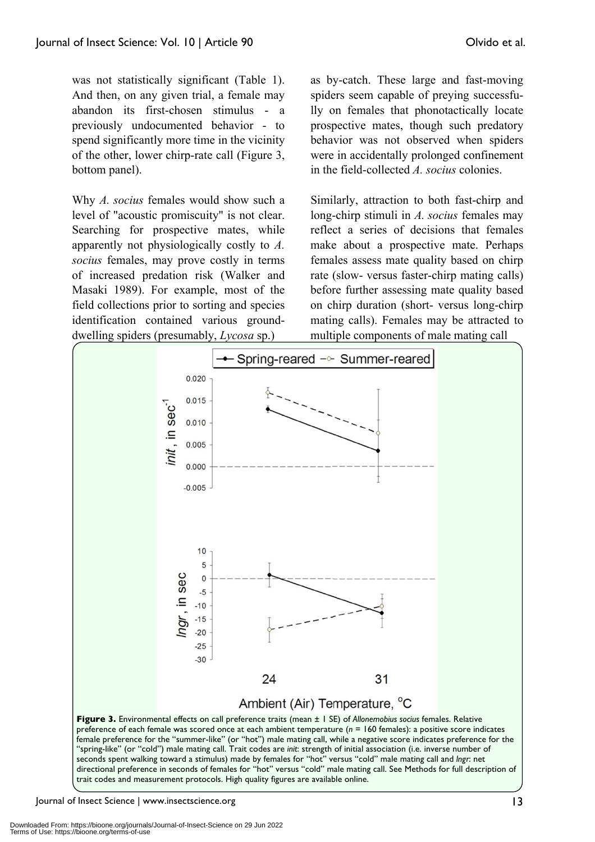was not statistically significant (Table 1). And then, on any given trial, a female may abandon its first-chosen stimulus - a previously undocumented behavior - to spend significantly more time in the vicinity of the other, lower chirp-rate call (Figure 3, bottom panel).

Why *A. socius* females would show such a level of "acoustic promiscuity" is not clear. Searching for prospective mates, while apparently not physiologically costly to *A. socius* females, may prove costly in terms of increased predation risk (Walker and Masaki 1989). For example, most of the field collections prior to sorting and species identification contained various grounddwelling spiders (presumably, *Lycosa* sp.)

as by-catch. These large and fast-moving spiders seem capable of preying successfully on females that phonotactically locate prospective mates, though such predatory behavior was not observed when spiders were in accidentally prolonged confinement in the field-collected *A. socius* colonies.

Similarly, attraction to both fast-chirp and long-chirp stimuli in *A. socius* females may reflect a series of decisions that females make about a prospective mate. Perhaps females assess mate quality based on chirp rate (slow- versus faster-chirp mating calls) before further assessing mate quality based on chirp duration (short- versus long-chirp mating calls). Females may be attracted to multiple components of male mating call



Journal of Insect Science | www.insectscience.org 13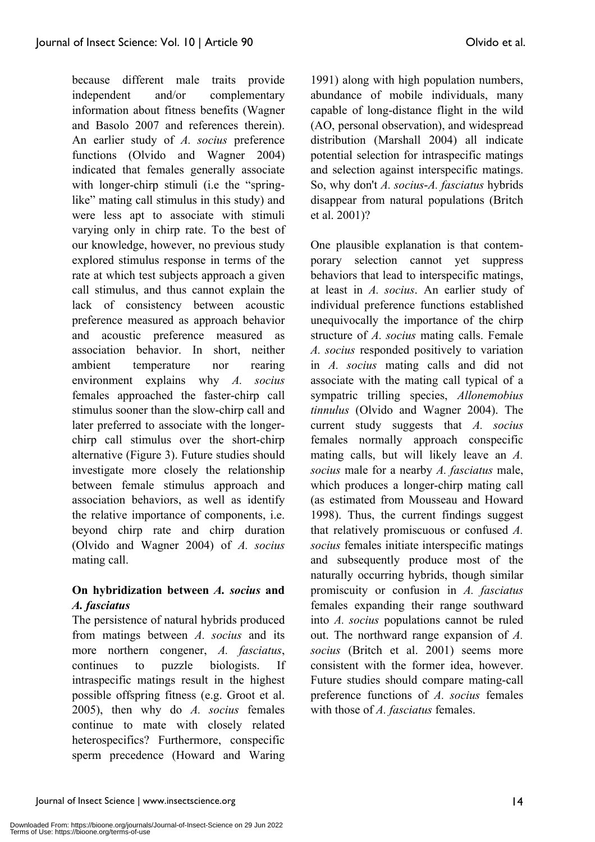because different male traits provide independent and/or complementary information about fitness benefits (Wagner and Basolo 2007 and references therein). An earlier study of *A. socius* preference functions (Olvido and Wagner 2004) indicated that females generally associate with longer-chirp stimuli (i.e the "springlike" mating call stimulus in this study) and were less apt to associate with stimuli varying only in chirp rate. To the best of our knowledge, however, no previous study explored stimulus response in terms of the rate at which test subjects approach a given call stimulus, and thus cannot explain the lack of consistency between acoustic preference measured as approach behavior and acoustic preference measured as association behavior. In short, neither ambient temperature nor rearing environment explains why *A. socius*

females approached the faster-chirp call stimulus sooner than the slow-chirp call and later preferred to associate with the longerchirp call stimulus over the short-chirp alternative (Figure 3). Future studies should investigate more closely the relationship between female stimulus approach and association behaviors, as well as identify the relative importance of components, i.e. beyond chirp rate and chirp duration (Olvido and Wagner 2004) of *A. socius* mating call.

# **On hybridization between** *A. socius* **and**  *A. fasciatus*

The persistence of natural hybrids produced from matings between *A. socius* and its more northern congener, *A. fasciatus*, continues to puzzle biologists. If intraspecific matings result in the highest possible offspring fitness (e.g. Groot et al. 2005), then why do *A. socius* females continue to mate with closely related heterospecifics? Furthermore, conspecific sperm precedence (Howard and Waring

1991) along with high population numbers, abundance of mobile individuals, many capable of long-distance flight in the wild (AO, personal observation), and widespread distribution (Marshall 2004) all indicate potential selection for intraspecific matings and selection against interspecific matings. So, why don't *A. socius*-*A. fasciatus* hybrids disappear from natural populations (Britch et al. 2001)?

One plausible explanation is that contemporary selection cannot yet suppress behaviors that lead to interspecific matings, at least in *A. socius*. An earlier study of individual preference functions established unequivocally the importance of the chirp structure of *A. socius* mating calls. Female *A. socius* responded positively to variation in *A. socius* mating calls and did not associate with the mating call typical of a sympatric trilling species, *Allonemobius tinnulus* (Olvido and Wagner 2004). The current study suggests that *A. socius* females normally approach conspecific mating calls, but will likely leave an *A. socius* male for a nearby *A. fasciatus* male, which produces a longer-chirp mating call (as estimated from Mousseau and Howard 1998). Thus, the current findings suggest that relatively promiscuous or confused *A. socius* females initiate interspecific matings and subsequently produce most of the naturally occurring hybrids, though similar promiscuity or confusion in *A. fasciatus* females expanding their range southward into *A. socius* populations cannot be ruled out. The northward range expansion of *A. socius* (Britch et al. 2001) seems more consistent with the former idea, however. Future studies should compare mating-call preference functions of *A. socius* females with those of *A. fasciatus* females.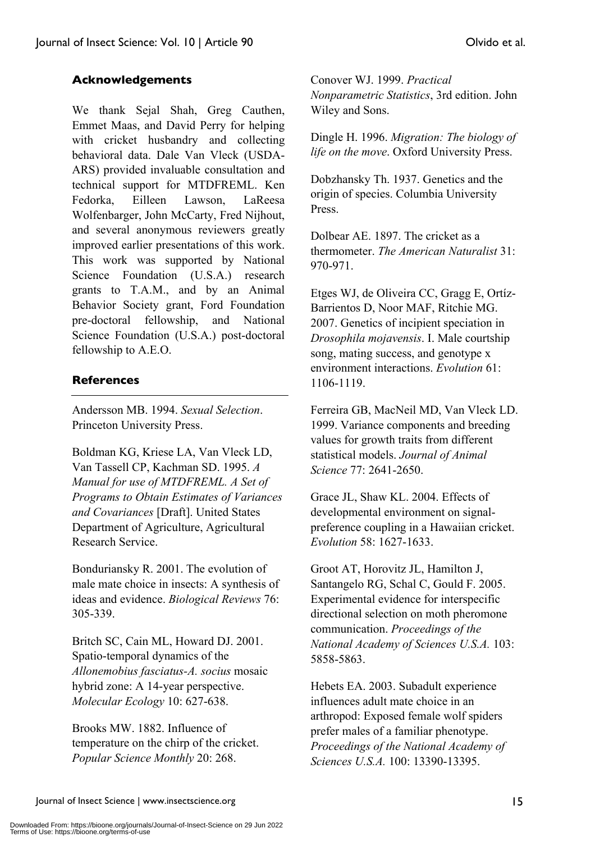# **Acknowledgements**

We thank Sejal Shah, Greg Cauthen, Emmet Maas, and David Perry for helping with cricket husbandry and collecting behavioral data. Dale Van Vleck (USDA-ARS) provided invaluable consultation and technical support for MTDFREML. Ken Fedorka, Eilleen Lawson, LaReesa Wolfenbarger, John McCarty, Fred Nijhout, and several anonymous reviewers greatly improved earlier presentations of this work. This work was supported by National Science Foundation (U.S.A.) research grants to T.A.M., and by an Animal Behavior Society grant, Ford Foundation pre-doctoral fellowship, and National Science Foundation (U.S.A.) post-doctoral fellowship to A.E.O.

#### **References**

Andersson MB. 1994. *Sexual Selection*. Princeton University Press.

Boldman KG, Kriese LA, Van Vleck LD, Van Tassell CP, Kachman SD. 1995. *A Manual for use of MTDFREML. A Set of Programs to Obtain Estimates of Variances and Covariances* [Draft]. United States Department of Agriculture, Agricultural Research Service.

Bonduriansky R. 2001. The evolution of male mate choice in insects: A synthesis of ideas and evidence. *Biological Reviews* 76: 305-339.

Britch SC, Cain ML, Howard DJ. 2001. Spatio-temporal dynamics of the *Allonemobius fasciatus-A. socius* mosaic hybrid zone: A 14-year perspective. *Molecular Ecology* 10: 627-638.

Brooks MW. 1882. Influence of temperature on the chirp of the cricket. *Popular Science Monthly* 20: 268.

Conover WJ. 1999. *Practical Nonparametric Statistics*, 3rd edition. John Wiley and Sons.

Dingle H. 1996. *Migration: The biology of life on the move*. Oxford University Press.

Dobzhansky Th. 1937. Genetics and the origin of species. Columbia University Press.

Dolbear AE. 1897. The cricket as a thermometer. *The American Naturalist* 31: 970-971.

Etges WJ, de Oliveira CC, Gragg E, Ortíz-Barrientos D, Noor MAF, Ritchie MG. 2007. Genetics of incipient speciation in *Drosophila mojavensis*. I. Male courtship song, mating success, and genotype x environment interactions. *Evolution* 61: 1106-1119.

Ferreira GB, MacNeil MD, Van Vleck LD. 1999. Variance components and breeding values for growth traits from different statistical models. *Journal of Animal Science* 77: 2641-2650.

Grace JL, Shaw KL. 2004. Effects of developmental environment on signalpreference coupling in a Hawaiian cricket. *Evolution* 58: 1627-1633.

Groot AT, Horovitz JL, Hamilton J, Santangelo RG, Schal C, Gould F. 2005. Experimental evidence for interspecific directional selection on moth pheromone communication. *Proceedings of the National Academy of Sciences U.S.A.* 103: 5858-5863.

Hebets EA. 2003. Subadult experience influences adult mate choice in an arthropod: Exposed female wolf spiders prefer males of a familiar phenotype. *Proceedings of the National Academy of Sciences U.S.A.* 100: 13390-13395.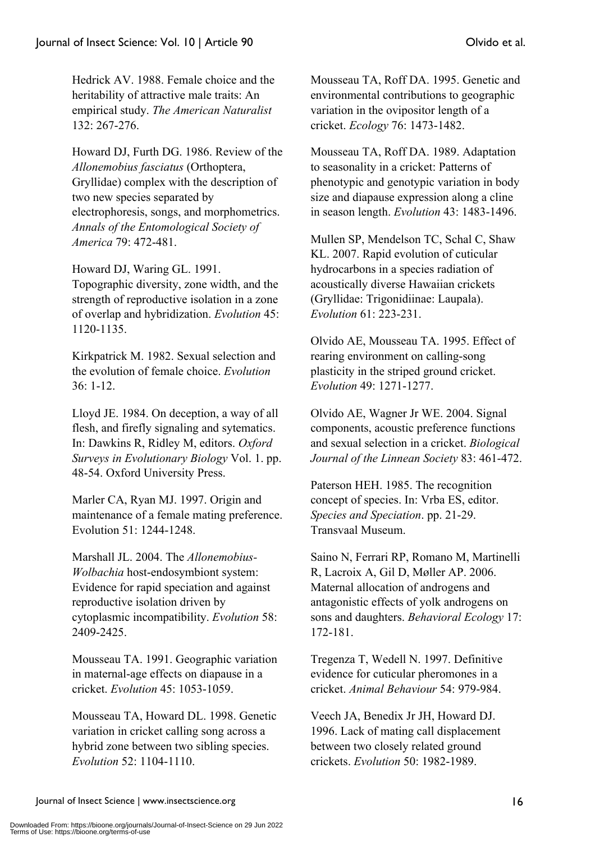Hedrick AV. 1988. Female choice and the heritability of attractive male traits: An empirical study. *The American Naturalist* 132: 267-276.

Howard DJ, Furth DG. 1986. Review of the *Allonemobius fasciatus* (Orthoptera, Gryllidae) complex with the description of two new species separated by electrophoresis, songs, and morphometrics. *Annals of the Entomological Society of America* 79: 472-481.

Howard DJ, Waring GL. 1991. Topographic diversity, zone width, and the strength of reproductive isolation in a zone of overlap and hybridization. *Evolution* 45: 1120-1135.

Kirkpatrick M. 1982. Sexual selection and the evolution of female choice. *Evolution* 36: 1-12.

Lloyd JE. 1984. On deception, a way of all flesh, and firefly signaling and sytematics. In: Dawkins R, Ridley M, editors. *Oxford Surveys in Evolutionary Biology* Vol. 1. pp. 48-54. Oxford University Press.

Marler CA, Ryan MJ. 1997. Origin and maintenance of a female mating preference. Evolution 51: 1244-1248.

Marshall JL. 2004. The *Allonemobius-Wolbachia* host-endosymbiont system: Evidence for rapid speciation and against reproductive isolation driven by cytoplasmic incompatibility. *Evolution* 58: 2409-2425.

Mousseau TA. 1991. Geographic variation in maternal-age effects on diapause in a cricket. *Evolution* 45: 1053-1059.

Mousseau TA, Howard DL. 1998. Genetic variation in cricket calling song across a hybrid zone between two sibling species. *Evolution* 52: 1104-1110.

Mousseau TA, Roff DA. 1995. Genetic and environmental contributions to geographic variation in the ovipositor length of a cricket. *Ecology* 76: 1473-1482.

Mousseau TA, Roff DA. 1989. Adaptation to seasonality in a cricket: Patterns of phenotypic and genotypic variation in body size and diapause expression along a cline in season length. *Evolution* 43: 1483-1496.

Mullen SP, Mendelson TC, Schal C, Shaw KL. 2007. Rapid evolution of cuticular hydrocarbons in a species radiation of acoustically diverse Hawaiian crickets (Gryllidae: Trigonidiinae: Laupala). *Evolution* 61: 223-231.

Olvido AE, Mousseau TA. 1995. Effect of rearing environment on calling-song plasticity in the striped ground cricket. *Evolution* 49: 1271-1277.

Olvido AE, Wagner Jr WE. 2004. Signal components, acoustic preference functions and sexual selection in a cricket. *Biological Journal of the Linnean Society* 83: 461-472.

Paterson HEH. 1985. The recognition concept of species. In: Vrba ES, editor. *Species and Speciation*. pp. 21-29. Transvaal Museum.

Saino N, Ferrari RP, Romano M, Martinelli R, Lacroix A, Gil D, Møller AP. 2006. Maternal allocation of androgens and antagonistic effects of yolk androgens on sons and daughters. *Behavioral Ecology* 17: 172-181.

Tregenza T, Wedell N. 1997. Definitive evidence for cuticular pheromones in a cricket. *Animal Behaviour* 54: 979-984.

Veech JA, Benedix Jr JH, Howard DJ. 1996. Lack of mating call displacement between two closely related ground crickets. *Evolution* 50: 1982-1989.